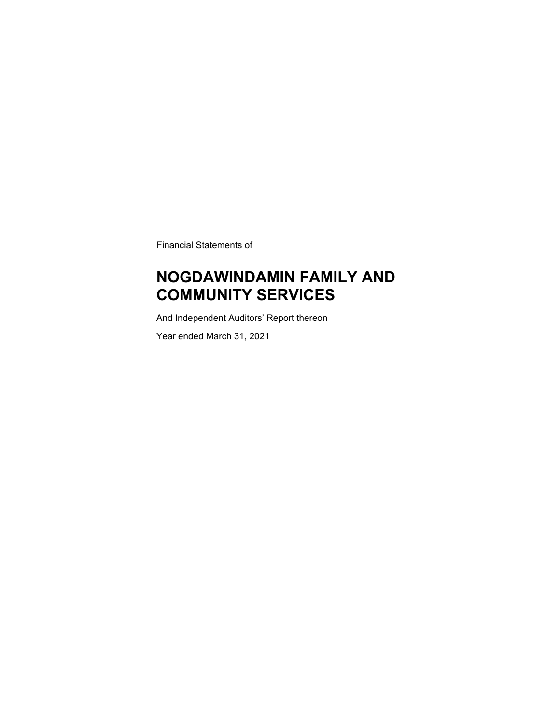Financial Statements of

### **NOGDAWINDAMIN FAMILY AND COMMUNITY SERVICES**

And Independent Auditors' Report thereon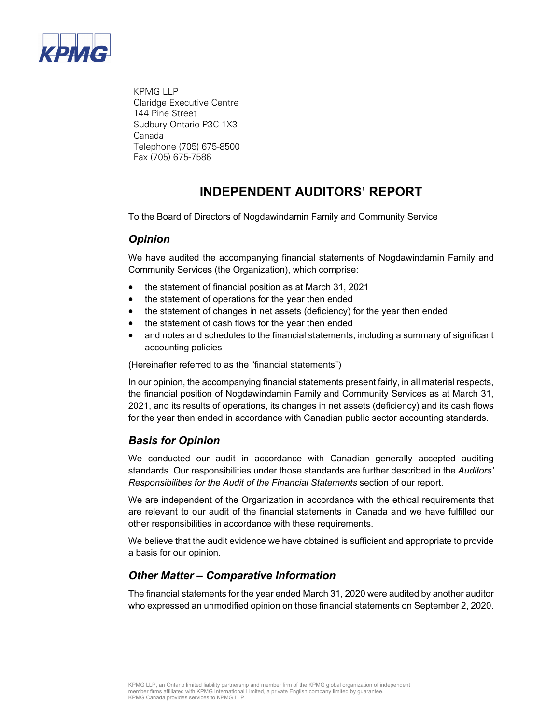

 KPMG LLP Claridge Executive Centre 144 Pine Street Sudbury Ontario P3C 1X3 Canada Telephone (705) 675-8500 Fax (705) 675-7586

### **INDEPENDENT AUDITORS' REPORT**

To the Board of Directors of Nogdawindamin Family and Community Service

### *Opinion*

We have audited the accompanying financial statements of Nogdawindamin Family and Community Services (the Organization), which comprise:

- the statement of financial position as at March 31, 2021
- the statement of operations for the year then ended
- the statement of changes in net assets (deficiency) for the year then ended
- the statement of cash flows for the year then ended
- and notes and schedules to the financial statements, including a summary of significant accounting policies

(Hereinafter referred to as the "financial statements")

In our opinion, the accompanying financial statements present fairly, in all material respects, the financial position of Nogdawindamin Family and Community Services as at March 31, 2021, and its results of operations, its changes in net assets (deficiency) and its cash flows for the year then ended in accordance with Canadian public sector accounting standards.

### *Basis for Opinion*

We conducted our audit in accordance with Canadian generally accepted auditing standards. Our responsibilities under those standards are further described in the *Auditors' Responsibilities for the Audit of the Financial Statements* section of our report.

We are independent of the Organization in accordance with the ethical requirements that are relevant to our audit of the financial statements in Canada and we have fulfilled our other responsibilities in accordance with these requirements.

We believe that the audit evidence we have obtained is sufficient and appropriate to provide a basis for our opinion.

### *Other Matter – Comparative Information*

The financial statements for the year ended March 31, 2020 were audited by another auditor who expressed an unmodified opinion on those financial statements on September 2, 2020.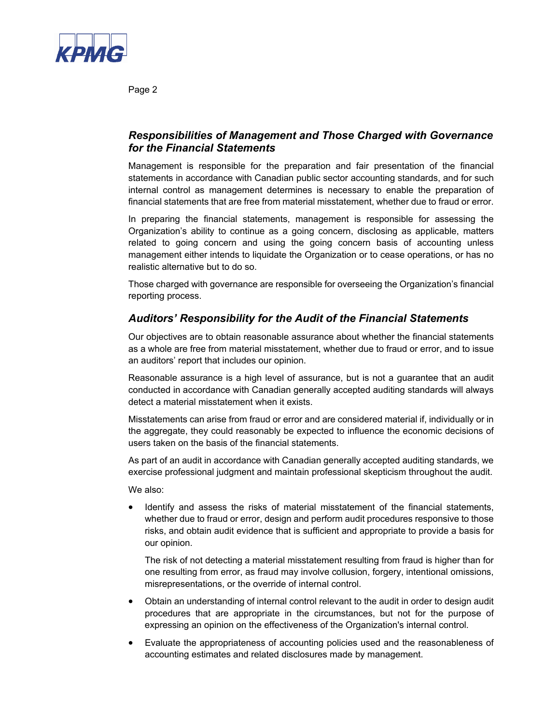

Page 2

### *Responsibilities of Management and Those Charged with Governance for the Financial Statements*

Management is responsible for the preparation and fair presentation of the financial statements in accordance with Canadian public sector accounting standards, and for such internal control as management determines is necessary to enable the preparation of financial statements that are free from material misstatement, whether due to fraud or error.

In preparing the financial statements, management is responsible for assessing the Organization's ability to continue as a going concern, disclosing as applicable, matters related to going concern and using the going concern basis of accounting unless management either intends to liquidate the Organization or to cease operations, or has no realistic alternative but to do so.

Those charged with governance are responsible for overseeing the Organization's financial reporting process.

### *Auditors' Responsibility for the Audit of the Financial Statements*

Our objectives are to obtain reasonable assurance about whether the financial statements as a whole are free from material misstatement, whether due to fraud or error, and to issue an auditors' report that includes our opinion.

Reasonable assurance is a high level of assurance, but is not a guarantee that an audit conducted in accordance with Canadian generally accepted auditing standards will always detect a material misstatement when it exists.

Misstatements can arise from fraud or error and are considered material if, individually or in the aggregate, they could reasonably be expected to influence the economic decisions of users taken on the basis of the financial statements.

As part of an audit in accordance with Canadian generally accepted auditing standards, we exercise professional judgment and maintain professional skepticism throughout the audit.

We also:

• Identify and assess the risks of material misstatement of the financial statements, whether due to fraud or error, design and perform audit procedures responsive to those risks, and obtain audit evidence that is sufficient and appropriate to provide a basis for our opinion.

The risk of not detecting a material misstatement resulting from fraud is higher than for one resulting from error, as fraud may involve collusion, forgery, intentional omissions, misrepresentations, or the override of internal control.

- Obtain an understanding of internal control relevant to the audit in order to design audit procedures that are appropriate in the circumstances, but not for the purpose of expressing an opinion on the effectiveness of the Organization's internal control.
- Evaluate the appropriateness of accounting policies used and the reasonableness of accounting estimates and related disclosures made by management.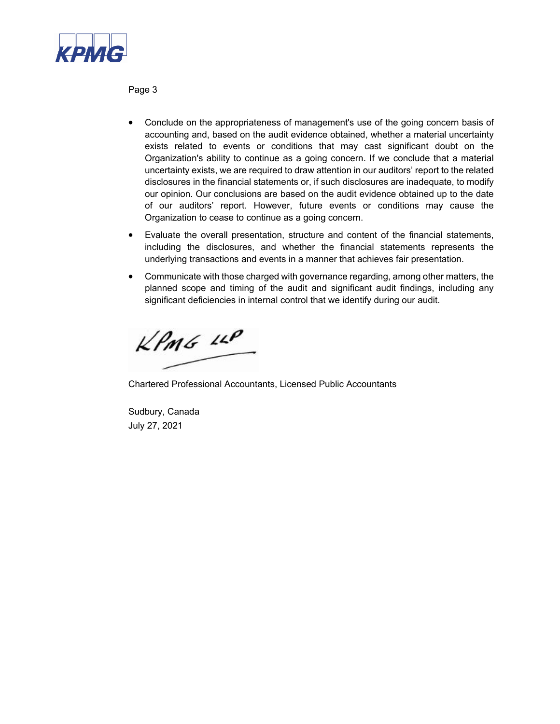

Page 3

- Conclude on the appropriateness of management's use of the going concern basis of accounting and, based on the audit evidence obtained, whether a material uncertainty exists related to events or conditions that may cast significant doubt on the Organization's ability to continue as a going concern. If we conclude that a material uncertainty exists, we are required to draw attention in our auditors' report to the related disclosures in the financial statements or, if such disclosures are inadequate, to modify our opinion. Our conclusions are based on the audit evidence obtained up to the date of our auditors' report. However, future events or conditions may cause the Organization to cease to continue as a going concern.
- Evaluate the overall presentation, structure and content of the financial statements, including the disclosures, and whether the financial statements represents the underlying transactions and events in a manner that achieves fair presentation.
- Communicate with those charged with governance regarding, among other matters, the planned scope and timing of the audit and significant audit findings, including any significant deficiencies in internal control that we identify during our audit.

 $kPm6$   $\mu$ 

Chartered Professional Accountants, Licensed Public Accountants

Sudbury, Canada July 27, 2021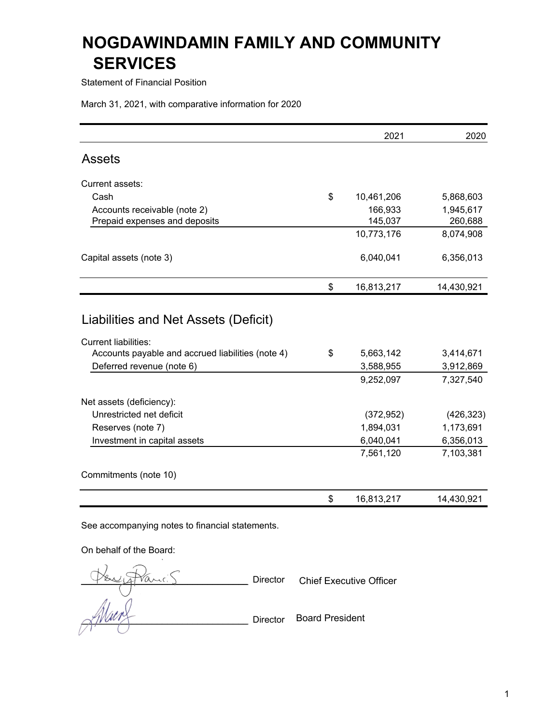Statement of Financial Position

March 31, 2021, with comparative information for 2020

|                                                                                                               | 2021                         | 2020                   |
|---------------------------------------------------------------------------------------------------------------|------------------------------|------------------------|
| <b>Assets</b>                                                                                                 |                              |                        |
| Current assets:                                                                                               |                              |                        |
| Cash                                                                                                          | \$<br>10,461,206             | 5,868,603              |
| Accounts receivable (note 2)                                                                                  | 166,933                      | 1,945,617              |
| Prepaid expenses and deposits                                                                                 | 145,037                      | 260,688                |
|                                                                                                               | 10,773,176                   | 8,074,908              |
| Capital assets (note 3)                                                                                       | 6,040,041                    | 6,356,013              |
|                                                                                                               | \$<br>16,813,217             | 14,430,921             |
| <b>Current liabilities:</b><br>Accounts payable and accrued liabilities (note 4)<br>Deferred revenue (note 6) | \$<br>5,663,142<br>3,588,955 | 3,414,671<br>3,912,869 |
|                                                                                                               | 9,252,097                    | 7,327,540              |
| Net assets (deficiency):                                                                                      |                              |                        |
| Unrestricted net deficit                                                                                      | (372, 952)                   | (426, 323)             |
| Reserves (note 7)                                                                                             | 1,894,031                    | 1,173,691              |
| Investment in capital assets                                                                                  | 6,040,041                    | 6,356,013              |
|                                                                                                               | 7,561,120                    | 7,103,381              |
| Commitments (note 10)                                                                                         |                              |                        |
|                                                                                                               | \$<br>16,813,217             | 14,430,921             |

See accompanying notes to financial statements.

On behalf of the Board:

Director  $\alpha$ //////// $\gamma$  Director Board President **Chief Executive Officer**<br> **Chief Executive Officer**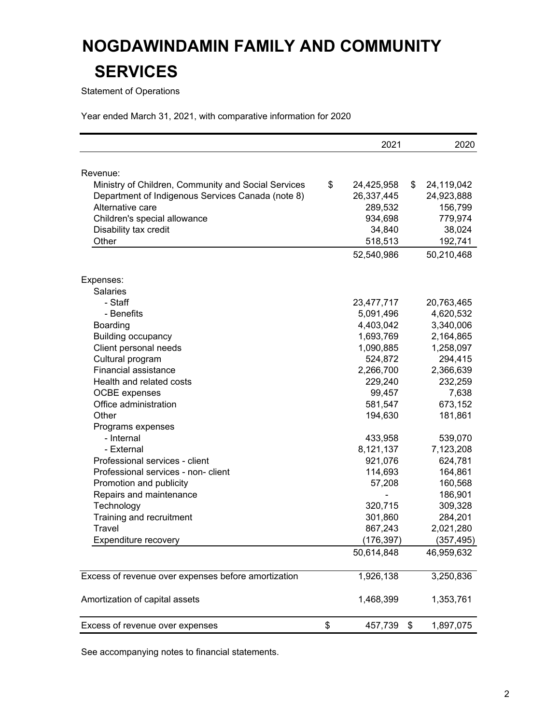Statement of Operations

Year ended March 31, 2021, with comparative information for 2020

|                                                                                                          | 2021                     | 2020                  |
|----------------------------------------------------------------------------------------------------------|--------------------------|-----------------------|
|                                                                                                          |                          |                       |
| Revenue:                                                                                                 | \$                       | \$<br>24,119,042      |
| Ministry of Children, Community and Social Services<br>Department of Indigenous Services Canada (note 8) | 24,425,958<br>26,337,445 |                       |
| Alternative care                                                                                         | 289,532                  | 24,923,888<br>156,799 |
| Children's special allowance                                                                             | 934,698                  | 779,974               |
| Disability tax credit                                                                                    | 34,840                   | 38,024                |
| Other                                                                                                    |                          | 192,741               |
|                                                                                                          | 518,513<br>52,540,986    | 50,210,468            |
|                                                                                                          |                          |                       |
| Expenses:                                                                                                |                          |                       |
| <b>Salaries</b>                                                                                          |                          |                       |
| - Staff                                                                                                  | 23,477,717               | 20,763,465            |
| - Benefits                                                                                               | 5,091,496                | 4,620,532             |
| Boarding                                                                                                 | 4,403,042                | 3,340,006             |
| <b>Building occupancy</b>                                                                                | 1,693,769                | 2,164,865             |
| Client personal needs                                                                                    | 1,090,885                | 1,258,097             |
| Cultural program                                                                                         | 524,872                  | 294,415               |
| Financial assistance                                                                                     | 2,266,700                | 2,366,639             |
| Health and related costs                                                                                 | 229,240                  | 232,259               |
| <b>OCBE</b> expenses                                                                                     | 99,457                   | 7,638                 |
| Office administration                                                                                    | 581,547                  | 673,152               |
| Other                                                                                                    | 194,630                  | 181,861               |
| Programs expenses                                                                                        |                          |                       |
| - Internal                                                                                               | 433,958                  | 539,070               |
| - External                                                                                               | 8,121,137                | 7,123,208             |
| Professional services - client                                                                           | 921,076                  | 624,781               |
| Professional services - non- client                                                                      | 114,693                  | 164,861               |
| Promotion and publicity                                                                                  | 57,208                   | 160,568               |
| Repairs and maintenance                                                                                  |                          | 186,901               |
| Technology                                                                                               | 320,715                  | 309,328               |
| Training and recruitment                                                                                 | 301,860                  | 284,201               |
| Travel                                                                                                   | 867,243                  | 2,021,280             |
| Expenditure recovery                                                                                     | (176, 397)               | (357, 495)            |
|                                                                                                          | 50,614,848               | 46,959,632            |
| Excess of revenue over expenses before amortization                                                      | 1,926,138                | 3,250,836             |
|                                                                                                          |                          |                       |
| Amortization of capital assets                                                                           | 1,468,399                | 1,353,761             |
| Excess of revenue over expenses                                                                          | \$<br>457,739            | \$<br>1,897,075       |

See accompanying notes to financial statements.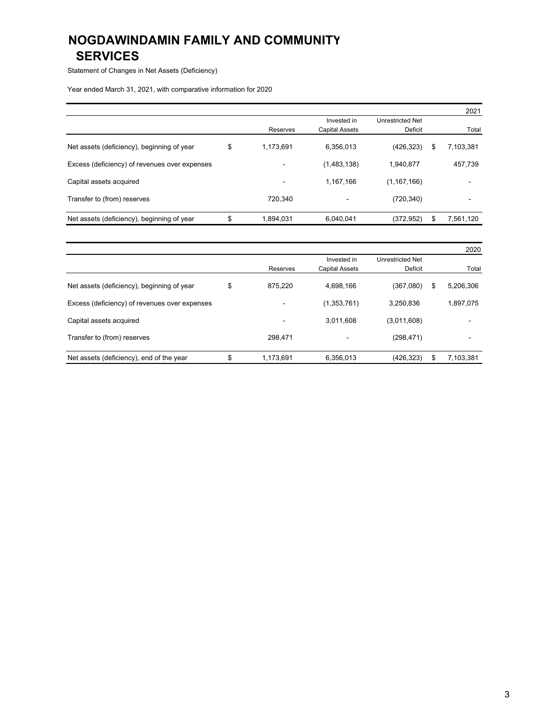Statement of Changes in Net Assets (Deficiency)

Year ended March 31, 2021, with comparative information for 2020

|                                               |                          |                          |                         | 2021            |
|-----------------------------------------------|--------------------------|--------------------------|-------------------------|-----------------|
|                                               |                          | Invested in              | <b>Unrestricted Net</b> |                 |
|                                               | Reserves                 | <b>Capital Assets</b>    | Deficit                 | Total           |
| Net assets (deficiency), beginning of year    | \$<br>1,173,691          | 6.356.013                | (426, 323)              | \$<br>7,103,381 |
| Excess (deficiency) of revenues over expenses | $\overline{\phantom{0}}$ | (1,483,138)              | 1,940,877               | 457,739         |
| Capital assets acquired                       | -                        | 1,167,166                | (1, 167, 166)           |                 |
| Transfer to (from) reserves                   | 720.340                  | $\overline{\phantom{a}}$ | (720, 340)              |                 |
| Net assets (deficiency), beginning of year    | 1,894,031                | 6,040,041                | (372,952)               | \$<br>7,561,120 |

|                                               |                 |                          |                         | 2020                     |
|-----------------------------------------------|-----------------|--------------------------|-------------------------|--------------------------|
|                                               |                 | Invested in              | <b>Unrestricted Net</b> |                          |
|                                               | Reserves        | <b>Capital Assets</b>    | Deficit                 | Total                    |
| Net assets (deficiency), beginning of year    | \$<br>875,220   | 4.698.166                | (367,080)               | \$<br>5,206,306          |
| Excess (deficiency) of revenues over expenses |                 | (1,353,761)              | 3,250,836               | 1,897,075                |
| Capital assets acquired                       | $\blacksquare$  | 3,011,608                | (3,011,608)             | -                        |
| Transfer to (from) reserves                   | 298,471         | $\overline{\phantom{a}}$ | (298, 471)              | $\overline{\phantom{a}}$ |
| Net assets (deficiency), end of the year      | \$<br>1,173,691 | 6,356,013                | (426,323)               | \$<br>7,103,381          |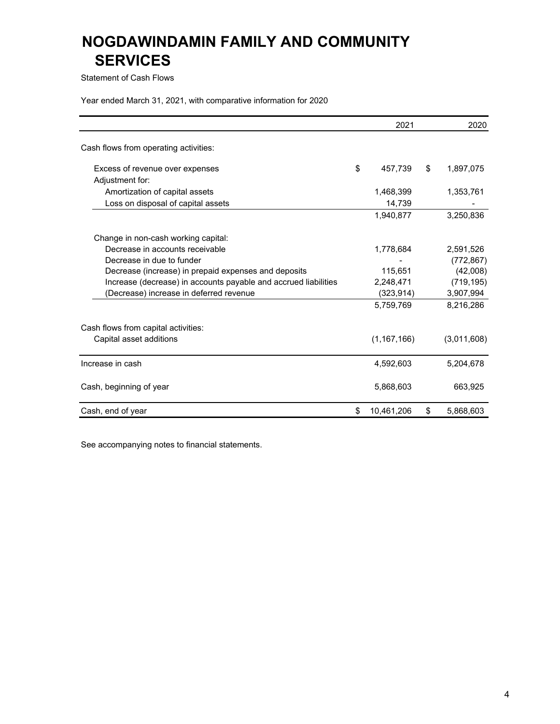Statement of Cash Flows

Year ended March 31, 2021, with comparative information for 2020

|                                                                 | 2021             | 2020            |
|-----------------------------------------------------------------|------------------|-----------------|
| Cash flows from operating activities:                           |                  |                 |
| Excess of revenue over expenses                                 | \$<br>457,739    | \$<br>1,897,075 |
| Adjustment for:                                                 |                  |                 |
| Amortization of capital assets                                  | 1,468,399        | 1,353,761       |
| Loss on disposal of capital assets                              | 14,739           |                 |
|                                                                 | 1.940.877        | 3.250.836       |
| Change in non-cash working capital:                             |                  |                 |
| Decrease in accounts receivable                                 | 1,778,684        | 2,591,526       |
| Decrease in due to funder                                       |                  | (772, 867)      |
| Decrease (increase) in prepaid expenses and deposits            | 115,651          | (42,008)        |
| Increase (decrease) in accounts payable and accrued liabilities | 2,248,471        | (719, 195)      |
| (Decrease) increase in deferred revenue                         | (323,914)        | 3,907,994       |
|                                                                 | 5,759,769        | 8,216,286       |
| Cash flows from capital activities:                             |                  |                 |
| Capital asset additions                                         | (1, 167, 166)    | (3,011,608)     |
| Increase in cash                                                | 4,592,603        | 5,204,678       |
| Cash, beginning of year                                         | 5,868,603        | 663,925         |
| Cash, end of year                                               | \$<br>10,461,206 | \$<br>5,868,603 |

See accompanying notes to financial statements.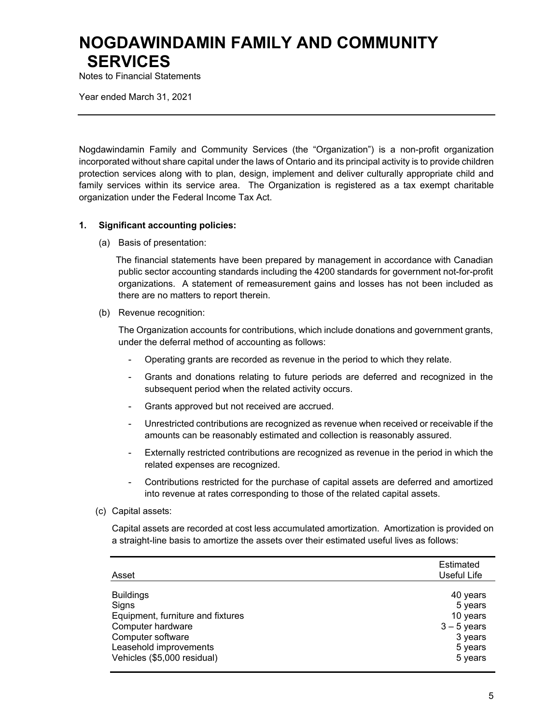Notes to Financial Statements

Year ended March 31, 2021

Nogdawindamin Family and Community Services (the "Organization") is a non-profit organization incorporated without share capital under the laws of Ontario and its principal activity is to provide children protection services along with to plan, design, implement and deliver culturally appropriate child and family services within its service area. The Organization is registered as a tax exempt charitable organization under the Federal Income Tax Act.

#### **1. Significant accounting policies:**

(a) Basis of presentation:

The financial statements have been prepared by management in accordance with Canadian public sector accounting standards including the 4200 standards for government not-for-profit organizations. A statement of remeasurement gains and losses has not been included as there are no matters to report therein.

(b) Revenue recognition:

The Organization accounts for contributions, which include donations and government grants, under the deferral method of accounting as follows:

- Operating grants are recorded as revenue in the period to which they relate.
- Grants and donations relating to future periods are deferred and recognized in the subsequent period when the related activity occurs.
- Grants approved but not received are accrued.
- Unrestricted contributions are recognized as revenue when received or receivable if the amounts can be reasonably estimated and collection is reasonably assured.
- Externally restricted contributions are recognized as revenue in the period in which the related expenses are recognized.
- Contributions restricted for the purchase of capital assets are deferred and amortized into revenue at rates corresponding to those of the related capital assets.
- (c) Capital assets:

Capital assets are recorded at cost less accumulated amortization. Amortization is provided on a straight-line basis to amortize the assets over their estimated useful lives as follows:

| Asset                             | Estimated<br>Useful Life |
|-----------------------------------|--------------------------|
| <b>Buildings</b>                  | 40 years                 |
| Signs                             | 5 years                  |
| Equipment, furniture and fixtures | 10 years                 |
| Computer hardware                 | $3 - 5$ years            |
| Computer software                 | 3 years                  |
| Leasehold improvements            | 5 years                  |
| Vehicles (\$5,000 residual)       | 5 years                  |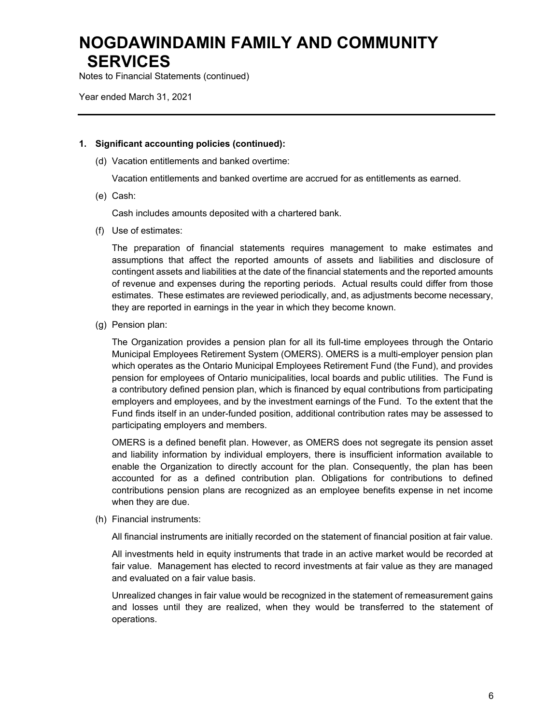Notes to Financial Statements (continued)

Year ended March 31, 2021

#### **1. Significant accounting policies (continued):**

(d) Vacation entitlements and banked overtime:

Vacation entitlements and banked overtime are accrued for as entitlements as earned.

(e) Cash:

Cash includes amounts deposited with a chartered bank.

(f) Use of estimates:

The preparation of financial statements requires management to make estimates and assumptions that affect the reported amounts of assets and liabilities and disclosure of contingent assets and liabilities at the date of the financial statements and the reported amounts of revenue and expenses during the reporting periods. Actual results could differ from those estimates. These estimates are reviewed periodically, and, as adjustments become necessary, they are reported in earnings in the year in which they become known.

(g) Pension plan:

The Organization provides a pension plan for all its full-time employees through the Ontario Municipal Employees Retirement System (OMERS). OMERS is a multi-employer pension plan which operates as the Ontario Municipal Employees Retirement Fund (the Fund), and provides pension for employees of Ontario municipalities, local boards and public utilities. The Fund is a contributory defined pension plan, which is financed by equal contributions from participating employers and employees, and by the investment earnings of the Fund. To the extent that the Fund finds itself in an under-funded position, additional contribution rates may be assessed to participating employers and members.

OMERS is a defined benefit plan. However, as OMERS does not segregate its pension asset and liability information by individual employers, there is insufficient information available to enable the Organization to directly account for the plan. Consequently, the plan has been accounted for as a defined contribution plan. Obligations for contributions to defined contributions pension plans are recognized as an employee benefits expense in net income when they are due.

(h) Financial instruments:

All financial instruments are initially recorded on the statement of financial position at fair value.

All investments held in equity instruments that trade in an active market would be recorded at fair value. Management has elected to record investments at fair value as they are managed and evaluated on a fair value basis.

Unrealized changes in fair value would be recognized in the statement of remeasurement gains and losses until they are realized, when they would be transferred to the statement of operations.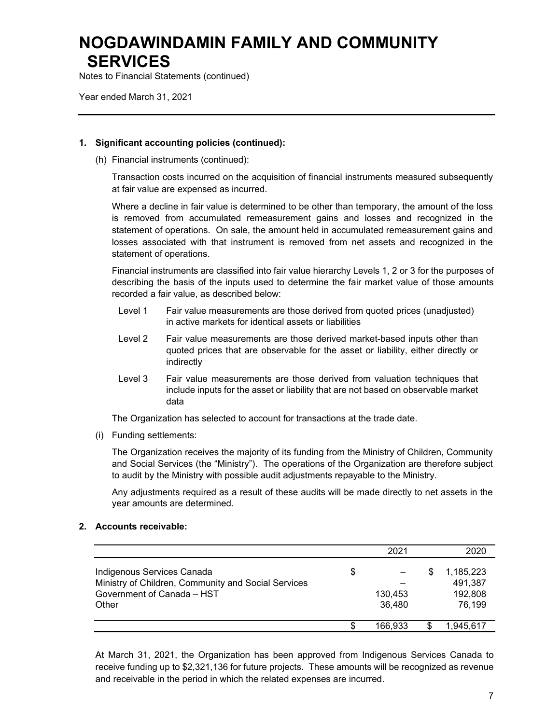Notes to Financial Statements (continued)

Year ended March 31, 2021

### **1. Significant accounting policies (continued):**

(h) Financial instruments (continued):

Transaction costs incurred on the acquisition of financial instruments measured subsequently at fair value are expensed as incurred.

Where a decline in fair value is determined to be other than temporary, the amount of the loss is removed from accumulated remeasurement gains and losses and recognized in the statement of operations. On sale, the amount held in accumulated remeasurement gains and losses associated with that instrument is removed from net assets and recognized in the statement of operations.

Financial instruments are classified into fair value hierarchy Levels 1, 2 or 3 for the purposes of describing the basis of the inputs used to determine the fair market value of those amounts recorded a fair value, as described below:

- Level 1 Fair value measurements are those derived from quoted prices (unadjusted) in active markets for identical assets or liabilities
- Level 2 Fair value measurements are those derived market-based inputs other than quoted prices that are observable for the asset or liability, either directly or indirectly
- Level 3 Fair value measurements are those derived from valuation techniques that include inputs for the asset or liability that are not based on observable market data

The Organization has selected to account for transactions at the trade date.

(i) Funding settlements:

The Organization receives the majority of its funding from the Ministry of Children, Community and Social Services (the "Ministry"). The operations of the Organization are therefore subject to audit by the Ministry with possible audit adjustments repayable to the Ministry.

Any adjustments required as a result of these audits will be made directly to net assets in the year amounts are determined.

### **2. Accounts receivable:**

|                                                                                                                          |    | 2021              |   | 2020                                      |
|--------------------------------------------------------------------------------------------------------------------------|----|-------------------|---|-------------------------------------------|
| Indigenous Services Canada<br>Ministry of Children, Community and Social Services<br>Government of Canada - HST<br>Other | \$ | 130,453<br>36,480 | S | 1,185,223<br>491,387<br>192,808<br>76,199 |
|                                                                                                                          | S  | 166.933           |   | 1.945.617                                 |

At March 31, 2021, the Organization has been approved from Indigenous Services Canada to receive funding up to \$2,321,136 for future projects. These amounts will be recognized as revenue and receivable in the period in which the related expenses are incurred.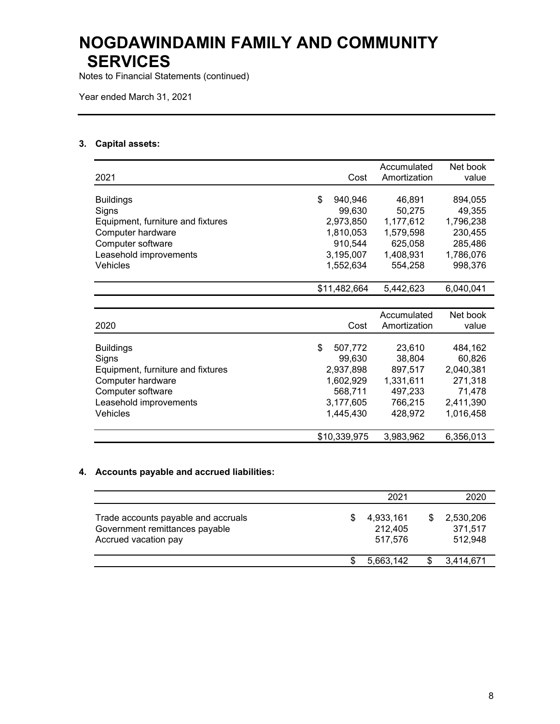Notes to Financial Statements (continued)

Year ended March 31, 2021

### **3. Capital assets:**

| 2021                                                                                                                                           | Cost                                                                                   | Accumulated<br>Amortization                                               | Net book<br>value                                                             |
|------------------------------------------------------------------------------------------------------------------------------------------------|----------------------------------------------------------------------------------------|---------------------------------------------------------------------------|-------------------------------------------------------------------------------|
| <b>Buildings</b><br>Signs<br>Equipment, furniture and fixtures<br>Computer hardware<br>Computer software                                       | \$<br>940,946<br>99,630<br>2,973,850<br>1,810,053<br>910,544                           | 46,891<br>50,275<br>1,177,612<br>1,579,598<br>625,058                     | 894,055<br>49,355<br>1,796,238<br>230,455<br>285,486                          |
| Leasehold improvements<br>Vehicles                                                                                                             | 3,195,007<br>1,552,634                                                                 | 1,408,931<br>554,258                                                      | 1,786,076<br>998,376                                                          |
|                                                                                                                                                | \$11,482,664                                                                           | 5,442,623                                                                 | 6,040,041                                                                     |
|                                                                                                                                                |                                                                                        |                                                                           |                                                                               |
| 2020                                                                                                                                           | Cost                                                                                   | Accumulated<br>Amortization                                               | Net book<br>value                                                             |
| <b>Buildings</b><br>Signs<br>Equipment, furniture and fixtures<br>Computer hardware<br>Computer software<br>Leasehold improvements<br>Vehicles | \$<br>507,772<br>99,630<br>2,937,898<br>1,602,929<br>568,711<br>3,177,605<br>1,445,430 | 23,610<br>38,804<br>897,517<br>1,331,611<br>497,233<br>766,215<br>428,972 | 484,162<br>60,826<br>2,040,381<br>271,318<br>71,478<br>2,411,390<br>1,016,458 |
|                                                                                                                                                | \$10,339,975                                                                           | 3,983,962                                                                 | 6,356,013                                                                     |

### **4. Accounts payable and accrued liabilities:**

|                                                                                               |    | 2021                            | 2020                            |
|-----------------------------------------------------------------------------------------------|----|---------------------------------|---------------------------------|
| Trade accounts payable and accruals<br>Government remittances payable<br>Accrued vacation pay | æ. | 4,933,161<br>212,405<br>517.576 | 2,530,206<br>371,517<br>512.948 |
|                                                                                               |    | 5,663,142                       | 3,414,671                       |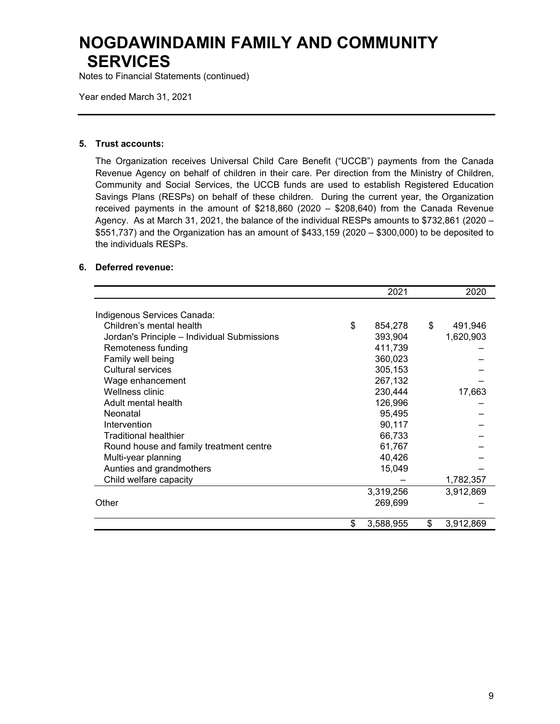Notes to Financial Statements (continued)

Year ended March 31, 2021

#### **5. Trust accounts:**

The Organization receives Universal Child Care Benefit ("UCCB") payments from the Canada Revenue Agency on behalf of children in their care. Per direction from the Ministry of Children, Community and Social Services, the UCCB funds are used to establish Registered Education Savings Plans (RESPs) on behalf of these children. During the current year, the Organization received payments in the amount of \$218,860 (2020 – \$208,640) from the Canada Revenue Agency. As at March 31, 2021, the balance of the individual RESPs amounts to \$732,861 (2020 – \$551,737) and the Organization has an amount of \$433,159 (2020 – \$300,000) to be deposited to the individuals RESPs.

#### **6. Deferred revenue:**

|                                             | 2021            | 2020            |
|---------------------------------------------|-----------------|-----------------|
| Indigenous Services Canada:                 |                 |                 |
| Children's mental health                    | \$<br>854,278   | \$<br>491,946   |
| Jordan's Principle - Individual Submissions | 393,904         | 1,620,903       |
| Remoteness funding                          | 411,739         |                 |
| Family well being                           | 360,023         |                 |
| Cultural services                           | 305,153         |                 |
| Wage enhancement                            | 267,132         |                 |
| Wellness clinic                             | 230,444         | 17,663          |
| Adult mental health                         | 126,996         |                 |
| Neonatal                                    | 95,495          |                 |
| Intervention                                | 90,117          |                 |
| <b>Traditional healthier</b>                | 66,733          |                 |
| Round house and family treatment centre     | 61,767          |                 |
| Multi-year planning                         | 40,426          |                 |
| Aunties and grandmothers                    | 15,049          |                 |
| Child welfare capacity                      |                 | 1,782,357       |
|                                             | 3,319,256       | 3,912,869       |
| Other                                       | 269,699         |                 |
|                                             |                 |                 |
|                                             | \$<br>3,588,955 | \$<br>3,912,869 |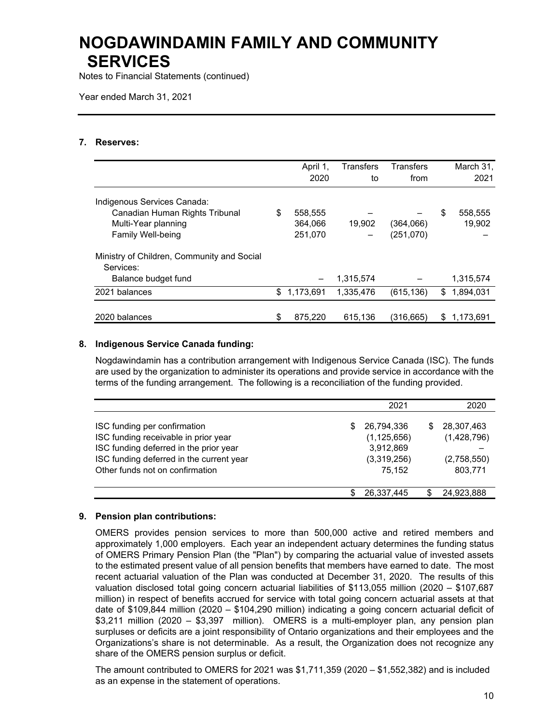Notes to Financial Statements (continued)

Year ended March 31, 2021

#### **7. Reserves:**

|                                                         | April 1,        | <b>Transfers</b> | <b>Transfers</b> |    | March 31, |
|---------------------------------------------------------|-----------------|------------------|------------------|----|-----------|
|                                                         | 2020            | to               | from             |    | 2021      |
| Indigenous Services Canada:                             |                 |                  |                  |    |           |
| Canadian Human Rights Tribunal                          | \$<br>558,555   |                  |                  | \$ | 558,555   |
| Multi-Year planning                                     | 364,066         | 19.902           | (364,066)        |    | 19,902    |
| <b>Family Well-being</b>                                | 251,070         |                  | (251,070)        |    |           |
| Ministry of Children, Community and Social<br>Services: |                 |                  |                  |    |           |
| Balance budget fund                                     |                 | 1,315,574        |                  |    | 1,315,574 |
| 2021 balances                                           | \$<br>1,173,691 | 1,335,476        | (615, 136)       | \$ | 1,894,031 |
|                                                         |                 |                  |                  |    |           |
| 2020 balances                                           | \$<br>875,220   | 615,136          | (316,665)        | S  | 1,173,691 |

#### **8. Indigenous Service Canada funding:**

Nogdawindamin has a contribution arrangement with Indigenous Service Canada (ISC). The funds are used by the organization to administer its operations and provide service in accordance with the terms of the funding arrangement. The following is a reconciliation of the funding provided.

|                                                                                    |     | 2021                        |    | 2020                      |
|------------------------------------------------------------------------------------|-----|-----------------------------|----|---------------------------|
| ISC funding per confirmation<br>ISC funding receivable in prior year               | S   | 26.794.336<br>(1, 125, 656) | S. | 28,307,463<br>(1,428,796) |
| ISC funding deferred in the prior year<br>ISC funding deferred in the current year |     | 3,912,869<br>(3,319,256)    |    | (2,758,550)               |
| Other funds not on confirmation                                                    |     | 75.152                      |    | 803,771                   |
|                                                                                    | \$. | 26,337,445                  |    | 24,923,888                |

#### **9. Pension plan contributions:**

OMERS provides pension services to more than 500,000 active and retired members and approximately 1,000 employers. Each year an independent actuary determines the funding status of OMERS Primary Pension Plan (the "Plan") by comparing the actuarial value of invested assets to the estimated present value of all pension benefits that members have earned to date. The most recent actuarial valuation of the Plan was conducted at December 31, 2020. The results of this valuation disclosed total going concern actuarial liabilities of \$113,055 million (2020 – \$107,687 million) in respect of benefits accrued for service with total going concern actuarial assets at that date of \$109,844 million (2020 – \$104,290 million) indicating a going concern actuarial deficit of \$3,211 million (2020 – \$3,397 million). OMERS is a multi-employer plan, any pension plan surpluses or deficits are a joint responsibility of Ontario organizations and their employees and the Organizations's share is not determinable. As a result, the Organization does not recognize any share of the OMERS pension surplus or deficit.

The amount contributed to OMERS for 2021 was  $$1,711,359$  (2020  $- $1,552,382$ ) and is included as an expense in the statement of operations.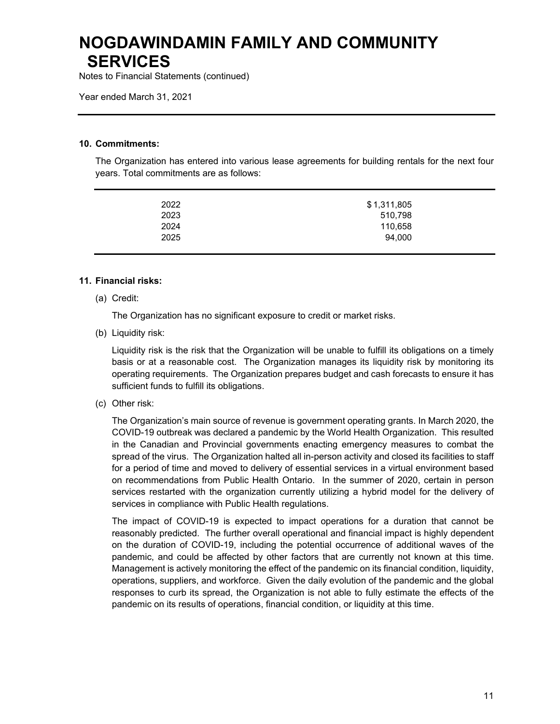Notes to Financial Statements (continued)

Year ended March 31, 2021

#### **10. Commitments:**

The Organization has entered into various lease agreements for building rentals for the next four years. Total commitments are as follows:

| 2022 | \$1,311,805 |
|------|-------------|
|      |             |
| 2023 | 510,798     |
| 2024 | 110,658     |
| 2025 | 94,000      |
|      |             |

#### **11. Financial risks:**

(a) Credit:

The Organization has no significant exposure to credit or market risks.

(b) Liquidity risk:

Liquidity risk is the risk that the Organization will be unable to fulfill its obligations on a timely basis or at a reasonable cost. The Organization manages its liquidity risk by monitoring its operating requirements. The Organization prepares budget and cash forecasts to ensure it has sufficient funds to fulfill its obligations.

(c) Other risk:

The Organization's main source of revenue is government operating grants. In March 2020, the COVID-19 outbreak was declared a pandemic by the World Health Organization. This resulted in the Canadian and Provincial governments enacting emergency measures to combat the spread of the virus. The Organization halted all in-person activity and closed its facilities to staff for a period of time and moved to delivery of essential services in a virtual environment based on recommendations from Public Health Ontario. In the summer of 2020, certain in person services restarted with the organization currently utilizing a hybrid model for the delivery of services in compliance with Public Health regulations.

The impact of COVID-19 is expected to impact operations for a duration that cannot be reasonably predicted. The further overall operational and financial impact is highly dependent on the duration of COVID-19, including the potential occurrence of additional waves of the pandemic, and could be affected by other factors that are currently not known at this time. Management is actively monitoring the effect of the pandemic on its financial condition, liquidity, operations, suppliers, and workforce. Given the daily evolution of the pandemic and the global responses to curb its spread, the Organization is not able to fully estimate the effects of the pandemic on its results of operations, financial condition, or liquidity at this time.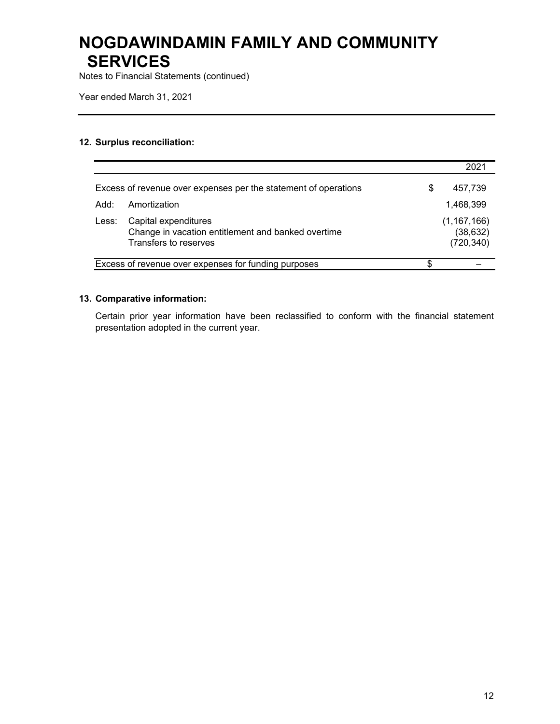Notes to Financial Statements (continued)

Year ended March 31, 2021

### **12. Surplus reconciliation:**

|       |                                                                                                     |   | $202^{\circ}$                            |
|-------|-----------------------------------------------------------------------------------------------------|---|------------------------------------------|
|       | Excess of revenue over expenses per the statement of operations                                     | S | 457,739                                  |
| Add:  | Amortization                                                                                        |   | 1,468,399                                |
| Less: | Capital expenditures<br>Change in vacation entitlement and banked overtime<br>Transfers to reserves |   | (1, 167, 166)<br>(38, 632)<br>(720, 340) |
|       | Excess of revenue over expenses for funding purposes                                                | S |                                          |

### **13. Comparative information:**

Certain prior year information have been reclassified to conform with the financial statement presentation adopted in the current year.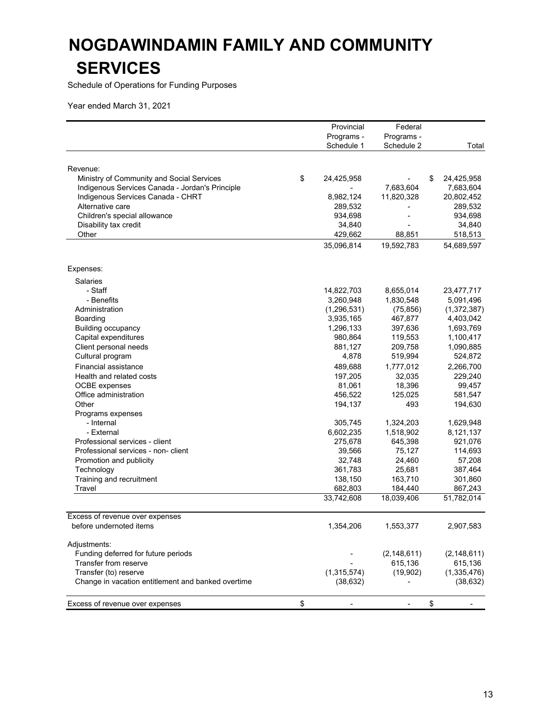Schedule of Operations for Funding Purposes

| Programs -<br>Programs -<br>Schedule 1<br>Schedule 2<br>Total<br>Revenue:<br>\$<br>Ministry of Community and Social Services<br>24,425,958<br>\$<br>24,425,958<br>Indigenous Services Canada - Jordan's Principle<br>7,683,604<br>7,683,604<br>Indigenous Services Canada - CHRT<br>8,982,124<br>11,820,328<br>20,802,452<br>Alternative care<br>289,532<br>289,532<br>Children's special allowance<br>934,698<br>934,698<br>Disability tax credit<br>34,840<br>34,840<br>Other<br>429,662<br>88,851<br>518,513<br>35,096,814<br>19,592,783<br>54,689,597<br>Expenses:<br><b>Salaries</b><br>- Staff<br>14,822,703<br>8,655,014<br>23,477,717<br>- Benefits<br>3,260,948<br>1,830,548<br>5,091,496<br>(1, 296, 531)<br>(75, 856)<br>(1,372,387)<br>Administration<br>3,935,165<br>467,877<br>4,403,042<br>Boarding<br><b>Building occupancy</b><br>1,296,133<br>397,636<br>1,693,769<br>Capital expenditures<br>980,864<br>119,553<br>1,100,417<br>Client personal needs<br>881,127<br>209,758<br>1,090,885<br>Cultural program<br>4,878<br>519,994<br>524,872<br>Financial assistance<br>489,688<br>1,777,012<br>2,266,700<br>197,205<br>32,035<br>229,240<br>Health and related costs<br>18,396<br><b>OCBE</b> expenses<br>81,061<br>99,457<br>Office administration<br>456,522<br>125,025<br>581,547<br>Other<br>194,137<br>493<br>194,630<br>Programs expenses<br>- Internal<br>305,745<br>1,324,203<br>1,629,948<br>- External<br>6,602,235<br>1,518,902<br>8,121,137<br>Professional services - client<br>275,678<br>645,398<br>921,076<br>Professional services - non- client<br>39,566<br>75,127<br>114,693<br>Promotion and publicity<br>32,748<br>24,460<br>57,208<br>361,783<br>25,681<br>387,464<br>Technology<br>138,150<br>163,710<br>Training and recruitment<br>301,860<br>Travel<br>682,803<br>184,440<br>867,243<br>33,742,608<br>18,039,406<br>51,782,014<br>Excess of revenue over expenses<br>before undernoted items<br>1,354,206<br>1,553,377<br>2,907,583<br>Adjustments:<br>Funding deferred for future periods<br>(2, 148, 611)<br>(2, 148, 611)<br>Transfer from reserve<br>615,136<br>615,136<br>(19,902)<br>(1, 335, 476)<br>Transfer (to) reserve<br>(1,315,574)<br>Change in vacation entitlement and banked overtime<br>(38, 632)<br>(38, 632)<br>Excess of revenue over expenses<br>\$<br>\$<br>٠ |  | Provincial | Federal |  |
|------------------------------------------------------------------------------------------------------------------------------------------------------------------------------------------------------------------------------------------------------------------------------------------------------------------------------------------------------------------------------------------------------------------------------------------------------------------------------------------------------------------------------------------------------------------------------------------------------------------------------------------------------------------------------------------------------------------------------------------------------------------------------------------------------------------------------------------------------------------------------------------------------------------------------------------------------------------------------------------------------------------------------------------------------------------------------------------------------------------------------------------------------------------------------------------------------------------------------------------------------------------------------------------------------------------------------------------------------------------------------------------------------------------------------------------------------------------------------------------------------------------------------------------------------------------------------------------------------------------------------------------------------------------------------------------------------------------------------------------------------------------------------------------------------------------------------------------------------------------------------------------------------------------------------------------------------------------------------------------------------------------------------------------------------------------------------------------------------------------------------------------------------------------------------------------------------------------------------------------------------------------------------------------------------------------------------------|--|------------|---------|--|
|                                                                                                                                                                                                                                                                                                                                                                                                                                                                                                                                                                                                                                                                                                                                                                                                                                                                                                                                                                                                                                                                                                                                                                                                                                                                                                                                                                                                                                                                                                                                                                                                                                                                                                                                                                                                                                                                                                                                                                                                                                                                                                                                                                                                                                                                                                                                    |  |            |         |  |
|                                                                                                                                                                                                                                                                                                                                                                                                                                                                                                                                                                                                                                                                                                                                                                                                                                                                                                                                                                                                                                                                                                                                                                                                                                                                                                                                                                                                                                                                                                                                                                                                                                                                                                                                                                                                                                                                                                                                                                                                                                                                                                                                                                                                                                                                                                                                    |  |            |         |  |
|                                                                                                                                                                                                                                                                                                                                                                                                                                                                                                                                                                                                                                                                                                                                                                                                                                                                                                                                                                                                                                                                                                                                                                                                                                                                                                                                                                                                                                                                                                                                                                                                                                                                                                                                                                                                                                                                                                                                                                                                                                                                                                                                                                                                                                                                                                                                    |  |            |         |  |
|                                                                                                                                                                                                                                                                                                                                                                                                                                                                                                                                                                                                                                                                                                                                                                                                                                                                                                                                                                                                                                                                                                                                                                                                                                                                                                                                                                                                                                                                                                                                                                                                                                                                                                                                                                                                                                                                                                                                                                                                                                                                                                                                                                                                                                                                                                                                    |  |            |         |  |
|                                                                                                                                                                                                                                                                                                                                                                                                                                                                                                                                                                                                                                                                                                                                                                                                                                                                                                                                                                                                                                                                                                                                                                                                                                                                                                                                                                                                                                                                                                                                                                                                                                                                                                                                                                                                                                                                                                                                                                                                                                                                                                                                                                                                                                                                                                                                    |  |            |         |  |
|                                                                                                                                                                                                                                                                                                                                                                                                                                                                                                                                                                                                                                                                                                                                                                                                                                                                                                                                                                                                                                                                                                                                                                                                                                                                                                                                                                                                                                                                                                                                                                                                                                                                                                                                                                                                                                                                                                                                                                                                                                                                                                                                                                                                                                                                                                                                    |  |            |         |  |
|                                                                                                                                                                                                                                                                                                                                                                                                                                                                                                                                                                                                                                                                                                                                                                                                                                                                                                                                                                                                                                                                                                                                                                                                                                                                                                                                                                                                                                                                                                                                                                                                                                                                                                                                                                                                                                                                                                                                                                                                                                                                                                                                                                                                                                                                                                                                    |  |            |         |  |
|                                                                                                                                                                                                                                                                                                                                                                                                                                                                                                                                                                                                                                                                                                                                                                                                                                                                                                                                                                                                                                                                                                                                                                                                                                                                                                                                                                                                                                                                                                                                                                                                                                                                                                                                                                                                                                                                                                                                                                                                                                                                                                                                                                                                                                                                                                                                    |  |            |         |  |
|                                                                                                                                                                                                                                                                                                                                                                                                                                                                                                                                                                                                                                                                                                                                                                                                                                                                                                                                                                                                                                                                                                                                                                                                                                                                                                                                                                                                                                                                                                                                                                                                                                                                                                                                                                                                                                                                                                                                                                                                                                                                                                                                                                                                                                                                                                                                    |  |            |         |  |
|                                                                                                                                                                                                                                                                                                                                                                                                                                                                                                                                                                                                                                                                                                                                                                                                                                                                                                                                                                                                                                                                                                                                                                                                                                                                                                                                                                                                                                                                                                                                                                                                                                                                                                                                                                                                                                                                                                                                                                                                                                                                                                                                                                                                                                                                                                                                    |  |            |         |  |
|                                                                                                                                                                                                                                                                                                                                                                                                                                                                                                                                                                                                                                                                                                                                                                                                                                                                                                                                                                                                                                                                                                                                                                                                                                                                                                                                                                                                                                                                                                                                                                                                                                                                                                                                                                                                                                                                                                                                                                                                                                                                                                                                                                                                                                                                                                                                    |  |            |         |  |
|                                                                                                                                                                                                                                                                                                                                                                                                                                                                                                                                                                                                                                                                                                                                                                                                                                                                                                                                                                                                                                                                                                                                                                                                                                                                                                                                                                                                                                                                                                                                                                                                                                                                                                                                                                                                                                                                                                                                                                                                                                                                                                                                                                                                                                                                                                                                    |  |            |         |  |
|                                                                                                                                                                                                                                                                                                                                                                                                                                                                                                                                                                                                                                                                                                                                                                                                                                                                                                                                                                                                                                                                                                                                                                                                                                                                                                                                                                                                                                                                                                                                                                                                                                                                                                                                                                                                                                                                                                                                                                                                                                                                                                                                                                                                                                                                                                                                    |  |            |         |  |
|                                                                                                                                                                                                                                                                                                                                                                                                                                                                                                                                                                                                                                                                                                                                                                                                                                                                                                                                                                                                                                                                                                                                                                                                                                                                                                                                                                                                                                                                                                                                                                                                                                                                                                                                                                                                                                                                                                                                                                                                                                                                                                                                                                                                                                                                                                                                    |  |            |         |  |
|                                                                                                                                                                                                                                                                                                                                                                                                                                                                                                                                                                                                                                                                                                                                                                                                                                                                                                                                                                                                                                                                                                                                                                                                                                                                                                                                                                                                                                                                                                                                                                                                                                                                                                                                                                                                                                                                                                                                                                                                                                                                                                                                                                                                                                                                                                                                    |  |            |         |  |
|                                                                                                                                                                                                                                                                                                                                                                                                                                                                                                                                                                                                                                                                                                                                                                                                                                                                                                                                                                                                                                                                                                                                                                                                                                                                                                                                                                                                                                                                                                                                                                                                                                                                                                                                                                                                                                                                                                                                                                                                                                                                                                                                                                                                                                                                                                                                    |  |            |         |  |
|                                                                                                                                                                                                                                                                                                                                                                                                                                                                                                                                                                                                                                                                                                                                                                                                                                                                                                                                                                                                                                                                                                                                                                                                                                                                                                                                                                                                                                                                                                                                                                                                                                                                                                                                                                                                                                                                                                                                                                                                                                                                                                                                                                                                                                                                                                                                    |  |            |         |  |
|                                                                                                                                                                                                                                                                                                                                                                                                                                                                                                                                                                                                                                                                                                                                                                                                                                                                                                                                                                                                                                                                                                                                                                                                                                                                                                                                                                                                                                                                                                                                                                                                                                                                                                                                                                                                                                                                                                                                                                                                                                                                                                                                                                                                                                                                                                                                    |  |            |         |  |
|                                                                                                                                                                                                                                                                                                                                                                                                                                                                                                                                                                                                                                                                                                                                                                                                                                                                                                                                                                                                                                                                                                                                                                                                                                                                                                                                                                                                                                                                                                                                                                                                                                                                                                                                                                                                                                                                                                                                                                                                                                                                                                                                                                                                                                                                                                                                    |  |            |         |  |
|                                                                                                                                                                                                                                                                                                                                                                                                                                                                                                                                                                                                                                                                                                                                                                                                                                                                                                                                                                                                                                                                                                                                                                                                                                                                                                                                                                                                                                                                                                                                                                                                                                                                                                                                                                                                                                                                                                                                                                                                                                                                                                                                                                                                                                                                                                                                    |  |            |         |  |
|                                                                                                                                                                                                                                                                                                                                                                                                                                                                                                                                                                                                                                                                                                                                                                                                                                                                                                                                                                                                                                                                                                                                                                                                                                                                                                                                                                                                                                                                                                                                                                                                                                                                                                                                                                                                                                                                                                                                                                                                                                                                                                                                                                                                                                                                                                                                    |  |            |         |  |
|                                                                                                                                                                                                                                                                                                                                                                                                                                                                                                                                                                                                                                                                                                                                                                                                                                                                                                                                                                                                                                                                                                                                                                                                                                                                                                                                                                                                                                                                                                                                                                                                                                                                                                                                                                                                                                                                                                                                                                                                                                                                                                                                                                                                                                                                                                                                    |  |            |         |  |
|                                                                                                                                                                                                                                                                                                                                                                                                                                                                                                                                                                                                                                                                                                                                                                                                                                                                                                                                                                                                                                                                                                                                                                                                                                                                                                                                                                                                                                                                                                                                                                                                                                                                                                                                                                                                                                                                                                                                                                                                                                                                                                                                                                                                                                                                                                                                    |  |            |         |  |
|                                                                                                                                                                                                                                                                                                                                                                                                                                                                                                                                                                                                                                                                                                                                                                                                                                                                                                                                                                                                                                                                                                                                                                                                                                                                                                                                                                                                                                                                                                                                                                                                                                                                                                                                                                                                                                                                                                                                                                                                                                                                                                                                                                                                                                                                                                                                    |  |            |         |  |
|                                                                                                                                                                                                                                                                                                                                                                                                                                                                                                                                                                                                                                                                                                                                                                                                                                                                                                                                                                                                                                                                                                                                                                                                                                                                                                                                                                                                                                                                                                                                                                                                                                                                                                                                                                                                                                                                                                                                                                                                                                                                                                                                                                                                                                                                                                                                    |  |            |         |  |
|                                                                                                                                                                                                                                                                                                                                                                                                                                                                                                                                                                                                                                                                                                                                                                                                                                                                                                                                                                                                                                                                                                                                                                                                                                                                                                                                                                                                                                                                                                                                                                                                                                                                                                                                                                                                                                                                                                                                                                                                                                                                                                                                                                                                                                                                                                                                    |  |            |         |  |
|                                                                                                                                                                                                                                                                                                                                                                                                                                                                                                                                                                                                                                                                                                                                                                                                                                                                                                                                                                                                                                                                                                                                                                                                                                                                                                                                                                                                                                                                                                                                                                                                                                                                                                                                                                                                                                                                                                                                                                                                                                                                                                                                                                                                                                                                                                                                    |  |            |         |  |
|                                                                                                                                                                                                                                                                                                                                                                                                                                                                                                                                                                                                                                                                                                                                                                                                                                                                                                                                                                                                                                                                                                                                                                                                                                                                                                                                                                                                                                                                                                                                                                                                                                                                                                                                                                                                                                                                                                                                                                                                                                                                                                                                                                                                                                                                                                                                    |  |            |         |  |
|                                                                                                                                                                                                                                                                                                                                                                                                                                                                                                                                                                                                                                                                                                                                                                                                                                                                                                                                                                                                                                                                                                                                                                                                                                                                                                                                                                                                                                                                                                                                                                                                                                                                                                                                                                                                                                                                                                                                                                                                                                                                                                                                                                                                                                                                                                                                    |  |            |         |  |
|                                                                                                                                                                                                                                                                                                                                                                                                                                                                                                                                                                                                                                                                                                                                                                                                                                                                                                                                                                                                                                                                                                                                                                                                                                                                                                                                                                                                                                                                                                                                                                                                                                                                                                                                                                                                                                                                                                                                                                                                                                                                                                                                                                                                                                                                                                                                    |  |            |         |  |
|                                                                                                                                                                                                                                                                                                                                                                                                                                                                                                                                                                                                                                                                                                                                                                                                                                                                                                                                                                                                                                                                                                                                                                                                                                                                                                                                                                                                                                                                                                                                                                                                                                                                                                                                                                                                                                                                                                                                                                                                                                                                                                                                                                                                                                                                                                                                    |  |            |         |  |
|                                                                                                                                                                                                                                                                                                                                                                                                                                                                                                                                                                                                                                                                                                                                                                                                                                                                                                                                                                                                                                                                                                                                                                                                                                                                                                                                                                                                                                                                                                                                                                                                                                                                                                                                                                                                                                                                                                                                                                                                                                                                                                                                                                                                                                                                                                                                    |  |            |         |  |
|                                                                                                                                                                                                                                                                                                                                                                                                                                                                                                                                                                                                                                                                                                                                                                                                                                                                                                                                                                                                                                                                                                                                                                                                                                                                                                                                                                                                                                                                                                                                                                                                                                                                                                                                                                                                                                                                                                                                                                                                                                                                                                                                                                                                                                                                                                                                    |  |            |         |  |
|                                                                                                                                                                                                                                                                                                                                                                                                                                                                                                                                                                                                                                                                                                                                                                                                                                                                                                                                                                                                                                                                                                                                                                                                                                                                                                                                                                                                                                                                                                                                                                                                                                                                                                                                                                                                                                                                                                                                                                                                                                                                                                                                                                                                                                                                                                                                    |  |            |         |  |
|                                                                                                                                                                                                                                                                                                                                                                                                                                                                                                                                                                                                                                                                                                                                                                                                                                                                                                                                                                                                                                                                                                                                                                                                                                                                                                                                                                                                                                                                                                                                                                                                                                                                                                                                                                                                                                                                                                                                                                                                                                                                                                                                                                                                                                                                                                                                    |  |            |         |  |
|                                                                                                                                                                                                                                                                                                                                                                                                                                                                                                                                                                                                                                                                                                                                                                                                                                                                                                                                                                                                                                                                                                                                                                                                                                                                                                                                                                                                                                                                                                                                                                                                                                                                                                                                                                                                                                                                                                                                                                                                                                                                                                                                                                                                                                                                                                                                    |  |            |         |  |
|                                                                                                                                                                                                                                                                                                                                                                                                                                                                                                                                                                                                                                                                                                                                                                                                                                                                                                                                                                                                                                                                                                                                                                                                                                                                                                                                                                                                                                                                                                                                                                                                                                                                                                                                                                                                                                                                                                                                                                                                                                                                                                                                                                                                                                                                                                                                    |  |            |         |  |
|                                                                                                                                                                                                                                                                                                                                                                                                                                                                                                                                                                                                                                                                                                                                                                                                                                                                                                                                                                                                                                                                                                                                                                                                                                                                                                                                                                                                                                                                                                                                                                                                                                                                                                                                                                                                                                                                                                                                                                                                                                                                                                                                                                                                                                                                                                                                    |  |            |         |  |
|                                                                                                                                                                                                                                                                                                                                                                                                                                                                                                                                                                                                                                                                                                                                                                                                                                                                                                                                                                                                                                                                                                                                                                                                                                                                                                                                                                                                                                                                                                                                                                                                                                                                                                                                                                                                                                                                                                                                                                                                                                                                                                                                                                                                                                                                                                                                    |  |            |         |  |
|                                                                                                                                                                                                                                                                                                                                                                                                                                                                                                                                                                                                                                                                                                                                                                                                                                                                                                                                                                                                                                                                                                                                                                                                                                                                                                                                                                                                                                                                                                                                                                                                                                                                                                                                                                                                                                                                                                                                                                                                                                                                                                                                                                                                                                                                                                                                    |  |            |         |  |
|                                                                                                                                                                                                                                                                                                                                                                                                                                                                                                                                                                                                                                                                                                                                                                                                                                                                                                                                                                                                                                                                                                                                                                                                                                                                                                                                                                                                                                                                                                                                                                                                                                                                                                                                                                                                                                                                                                                                                                                                                                                                                                                                                                                                                                                                                                                                    |  |            |         |  |
|                                                                                                                                                                                                                                                                                                                                                                                                                                                                                                                                                                                                                                                                                                                                                                                                                                                                                                                                                                                                                                                                                                                                                                                                                                                                                                                                                                                                                                                                                                                                                                                                                                                                                                                                                                                                                                                                                                                                                                                                                                                                                                                                                                                                                                                                                                                                    |  |            |         |  |
|                                                                                                                                                                                                                                                                                                                                                                                                                                                                                                                                                                                                                                                                                                                                                                                                                                                                                                                                                                                                                                                                                                                                                                                                                                                                                                                                                                                                                                                                                                                                                                                                                                                                                                                                                                                                                                                                                                                                                                                                                                                                                                                                                                                                                                                                                                                                    |  |            |         |  |
|                                                                                                                                                                                                                                                                                                                                                                                                                                                                                                                                                                                                                                                                                                                                                                                                                                                                                                                                                                                                                                                                                                                                                                                                                                                                                                                                                                                                                                                                                                                                                                                                                                                                                                                                                                                                                                                                                                                                                                                                                                                                                                                                                                                                                                                                                                                                    |  |            |         |  |
|                                                                                                                                                                                                                                                                                                                                                                                                                                                                                                                                                                                                                                                                                                                                                                                                                                                                                                                                                                                                                                                                                                                                                                                                                                                                                                                                                                                                                                                                                                                                                                                                                                                                                                                                                                                                                                                                                                                                                                                                                                                                                                                                                                                                                                                                                                                                    |  |            |         |  |
|                                                                                                                                                                                                                                                                                                                                                                                                                                                                                                                                                                                                                                                                                                                                                                                                                                                                                                                                                                                                                                                                                                                                                                                                                                                                                                                                                                                                                                                                                                                                                                                                                                                                                                                                                                                                                                                                                                                                                                                                                                                                                                                                                                                                                                                                                                                                    |  |            |         |  |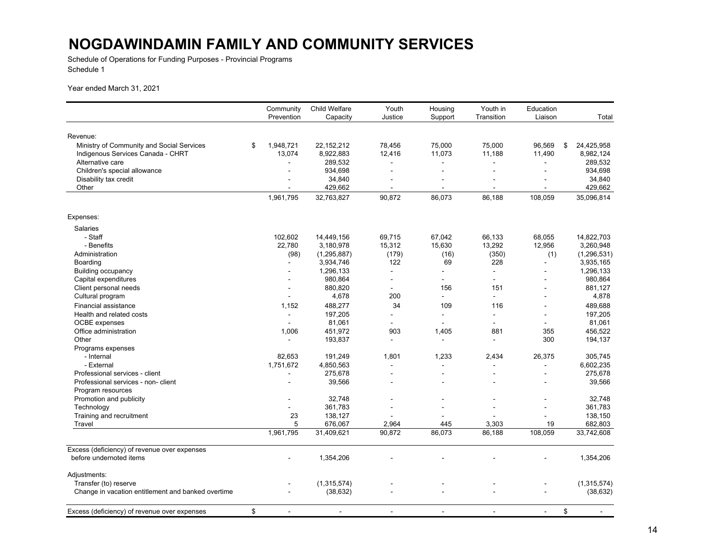Schedule of Operations for Funding Purposes - Provincial Programs Schedule 1

|                                                                         | Community       | <b>Child Welfare</b>  | Youth           | Housing        | Youth in        | Education                |                       |
|-------------------------------------------------------------------------|-----------------|-----------------------|-----------------|----------------|-----------------|--------------------------|-----------------------|
|                                                                         | Prevention      | Capacity              | Justice         | Support        | Transition      | Liaison                  | Total                 |
|                                                                         |                 |                       |                 |                |                 |                          |                       |
| Revenue:                                                                |                 |                       |                 |                |                 |                          |                       |
| Ministry of Community and Social Services                               | \$<br>1,948,721 | 22,152,212            | 78,456          | 75,000         | 75,000          | 96,569                   | 24,425,958<br>\$      |
| Indigenous Services Canada - CHRT                                       | 13,074          | 8,922,883             | 12,416          | 11,073         | 11,188          | 11,490                   | 8,982,124             |
| Alternative care                                                        |                 | 289,532               |                 |                |                 | ÷,                       | 289,532               |
| Children's special allowance                                            |                 | 934,698               | $\blacksquare$  |                |                 |                          | 934,698               |
| Disability tax credit                                                   |                 | 34,840                |                 |                |                 |                          | 34,840                |
| Other                                                                   | $\blacksquare$  | 429,662               | $\sim$          | $\blacksquare$ | $\sim$          | $\blacksquare$           | 429,662               |
|                                                                         | 1,961,795       | 32,763,827            | 90,872          | 86,073         | 86,188          | 108,059                  | 35,096,814            |
| Expenses:                                                               |                 |                       |                 |                |                 |                          |                       |
| <b>Salaries</b>                                                         |                 |                       |                 |                |                 |                          |                       |
| - Staff                                                                 | 102,602         | 14,449,156            | 69,715          | 67,042         | 66,133          | 68,055                   | 14,822,703            |
| - Benefits                                                              | 22,780          | 3,180,978             | 15,312          | 15,630         | 13,292          | 12,956                   | 3,260,948             |
| Administration                                                          | (98)            | (1, 295, 887)         | (179)           | (16)           | (350)           | (1)                      | (1, 296, 531)         |
| Boarding                                                                |                 | 3,934,746             | 122             | 69             | 228             |                          | 3,935,165             |
| <b>Building occupancy</b>                                               | ÷.              | 1,296,133             | $\overline{a}$  | $\overline{a}$ | $\mathbf{r}$    |                          | 1,296,133             |
| Capital expenditures                                                    |                 | 980,864               |                 |                | $\blacksquare$  |                          | 980,864               |
| Client personal needs                                                   |                 | 880,820               |                 | 156            | 151             |                          | 881,127               |
| Cultural program                                                        |                 | 4,678                 | 200             | ÷.             | $\sim$          |                          | 4,878                 |
| <b>Financial assistance</b>                                             | 1,152           | 488,277               | 34              | 109            | 116             |                          | 489,688               |
| Health and related costs                                                | $\sim$          | 197,205               |                 | $\overline{a}$ | $\overline{a}$  | ÷                        | 197,205               |
| <b>OCBE</b> expenses                                                    |                 | 81,061                |                 |                |                 |                          | 81,061                |
| Office administration                                                   | 1,006           | 451,972               | 903             | 1,405          | 881             | 355                      | 456.522               |
| Other                                                                   |                 | 193,837               |                 |                |                 | 300                      | 194,137               |
| Programs expenses                                                       |                 |                       |                 |                |                 |                          |                       |
| - Internal                                                              | 82,653          | 191,249               | 1,801           | 1,233          | 2,434           | 26,375                   | 305,745               |
| - External                                                              | 1,751,672       | 4,850,563             |                 |                |                 | $\overline{\phantom{a}}$ | 6,602,235             |
| Professional services - client                                          |                 | 275,678               |                 |                |                 |                          | 275,678               |
|                                                                         |                 |                       |                 |                |                 |                          |                       |
| Professional services - non- client                                     |                 | 39,566                |                 |                |                 |                          | 39,566                |
| Program resources                                                       |                 |                       |                 |                |                 |                          |                       |
| Promotion and publicity                                                 |                 | 32,748                |                 |                |                 |                          | 32,748                |
| Technology                                                              |                 | 361,783               |                 | $\blacksquare$ | $\overline{a}$  |                          | 361,783               |
| Training and recruitment                                                | 23              | 138,127               |                 |                |                 |                          | 138,150               |
| Travel                                                                  | 5<br>1,961,795  | 676,067<br>31,409,621 | 2,964<br>90,872 | 445<br>86,073  | 3,303<br>86,188 | 19<br>108,059            | 682,803<br>33,742,608 |
|                                                                         |                 |                       |                 |                |                 |                          |                       |
| Excess (deficiency) of revenue over expenses<br>before undernoted items |                 |                       |                 |                |                 |                          |                       |
|                                                                         |                 | 1,354,206             |                 |                |                 |                          | 1,354,206             |
| Adjustments:                                                            |                 |                       |                 |                |                 |                          |                       |
| Transfer (to) reserve                                                   |                 | (1,315,574)           |                 |                |                 |                          | (1,315,574)           |
| Change in vacation entitlement and banked overtime                      |                 | (38, 632)             |                 |                |                 |                          | (38, 632)             |
| Excess (deficiency) of revenue over expenses                            | \$              | $\overline{a}$        |                 | $\overline{a}$ |                 |                          | \$                    |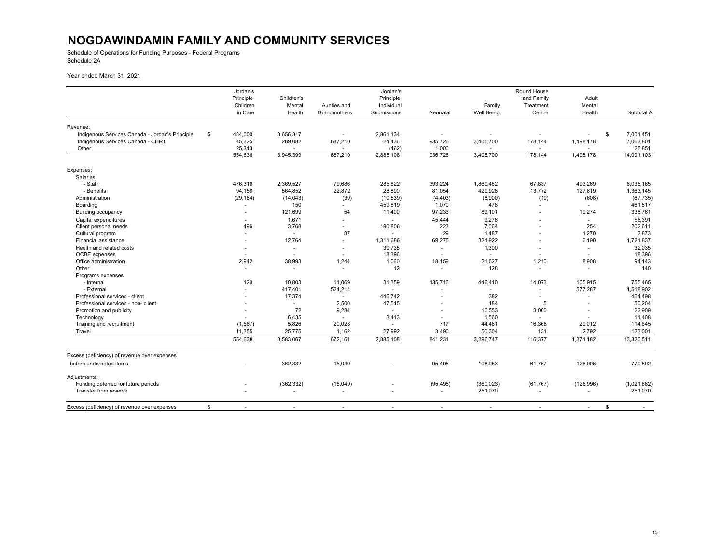Schedule of Operations for Funding Purposes - Federal Programs Schedule 2A

|                                                 | Jordan's      |                          |                          | Jordan's                 |           |                   | Round House              |                          |                 |
|-------------------------------------------------|---------------|--------------------------|--------------------------|--------------------------|-----------|-------------------|--------------------------|--------------------------|-----------------|
|                                                 | Principle     | Children's               |                          | Principle                |           |                   | and Family               | Adult                    |                 |
|                                                 | Children      | Mental                   | Aunties and              | Individual               |           | Family            | Treatment                | Mental                   |                 |
|                                                 | in Care       | Health                   | Grandmothers             | Submissions              | Neonatal  | <b>Well Being</b> | Centre                   | Health                   | Subtotal A      |
|                                                 |               |                          |                          |                          |           |                   |                          |                          |                 |
| Revenue:                                        |               |                          |                          |                          |           |                   |                          |                          |                 |
| Indigenous Services Canada - Jordan's Principle | \$<br>484,000 | 3,656,317                |                          | 2,861,134                |           |                   | $\blacksquare$           |                          | \$<br>7,001,451 |
| Indigenous Services Canada - CHRT               | 45,325        | 289,082                  | 687,210                  | 24,436                   | 935,726   | 3,405,700         | 178,144                  | 1,498,178                | 7,063,801       |
| Other                                           | 25,313        |                          |                          | (462)                    | 1,000     |                   |                          |                          | 25,851          |
|                                                 | 554,638       | 3,945,399                | 687,210                  | 2,885,108                | 936,726   | 3,405,700         | 178,144                  | 1,498,178                | 14,091,103      |
| Expenses:                                       |               |                          |                          |                          |           |                   |                          |                          |                 |
| Salaries                                        |               |                          |                          |                          |           |                   |                          |                          |                 |
| - Staff                                         | 476,318       | 2,369,527                | 79,686                   | 285,822                  | 393,224   | 1,869,482         | 67,837                   | 493,269                  | 6,035,165       |
| - Benefits                                      | 94,158        | 564,852                  | 22,872                   | 28,890                   | 81,054    | 429,928           | 13,772                   | 127,619                  | 1,363,145       |
| Administration                                  | (29, 184)     | (14, 043)                | (39)                     | (10, 539)                | (4, 403)  | (8,900)           | (19)                     | (608)                    | (67, 735)       |
| Boarding                                        |               | 150                      | $\sim$                   | 459,819                  | 1,070     | 478               | ٠                        |                          | 461,517         |
| <b>Building occupancy</b>                       |               | 121,699                  | 54                       | 11,400                   | 97,233    | 89,101            |                          | 19,274                   | 338,761         |
| Capital expenditures                            |               | 1,671                    |                          | $\overline{\phantom{a}}$ | 45,444    | 9,276             |                          |                          | 56,391          |
| Client personal needs                           | 496           | 3,768                    | ٠                        | 190,806                  | 223       | 7,064             |                          | $\sim$<br>254            | 202,611         |
|                                                 |               |                          |                          |                          | 29        | 1,487             | $\blacksquare$           |                          | 2,873           |
| Cultural program                                |               | $\overline{\phantom{a}}$ | 87                       |                          |           |                   |                          | 1,270                    |                 |
| Financial assistance                            |               | 12,764                   |                          | 1,311,686                | 69,275    | 321,922           |                          | 6,190                    | 1,721,837       |
| Health and related costs                        |               | $\sim$                   |                          | 30,735                   |           | 1,300             | $\blacksquare$           | $\overline{\phantom{a}}$ | 32,035          |
| <b>OCBE</b> expenses                            |               | $\overline{\phantom{a}}$ | ×.                       | 18,396                   |           | $\mathbf{r}$      | $\blacksquare$           | $\sim$                   | 18,396          |
| Office administration                           | 2,942         | 38,993                   | 1,244                    | 1,060                    | 18,159    | 21,627            | 1,210                    | 8,908                    | 94,143          |
| Other                                           |               |                          |                          | 12                       |           | 128               | $\blacksquare$           |                          | 140             |
| Programs expenses                               |               |                          |                          |                          |           |                   |                          |                          |                 |
| - Internal                                      | 120           | 10,803                   | 11,069                   | 31,359                   | 135,716   | 446,410           | 14,073                   | 105,915                  | 755,465         |
| - External                                      |               | 417,401                  | 524,214                  | $\blacksquare$           |           |                   | $\blacksquare$           | 577,287                  | 1,518,902       |
| Professional services - client                  |               | 17,374                   | ÷                        | 446,742                  |           | 382               | $\blacksquare$           | ä,                       | 464,498         |
| Professional services - non- client             |               | $\overline{\phantom{a}}$ | 2,500                    | 47,515                   |           | 184               | 5                        |                          | 50,204          |
| Promotion and publicity                         |               | 72                       | 9,284                    | $\overline{\phantom{a}}$ |           | 10,553            | 3,000                    | $\blacksquare$           | 22,909          |
| Technology                                      |               | 6,435                    | ÷.                       | 3,413                    |           | 1,560             |                          |                          | 11,408          |
| Training and recruitment                        | (1, 567)      | 5,826                    | 20,028                   |                          | 717       | 44,461            | 16,368                   | 29,012                   | 114,845         |
| Travel                                          | 11,355        | 25,775                   | 1,162                    | 27,992                   | 3,490     | 50,304            | 131                      | 2,792                    | 123,001         |
|                                                 | 554,638       | 3,583,067                | 672,161                  | 2,885,108                | 841,231   | 3,296,747         | 116,377                  | 1,371,182                | 13,320,511      |
| Excess (deficiency) of revenue over expenses    |               |                          |                          |                          |           |                   |                          |                          |                 |
| before undernoted items                         |               | 362,332                  | 15,049                   |                          | 95,495    | 108,953           | 61,767                   | 126,996                  | 770,592         |
|                                                 |               |                          |                          |                          |           |                   |                          |                          |                 |
| Adjustments:                                    |               |                          |                          |                          |           |                   |                          |                          |                 |
| Funding deferred for future periods             |               | (362, 332)               | (15,049)                 |                          | (95, 495) | (360, 023)        | (61, 767)                | (126, 996)               | (1,021,662)     |
| Transfer from reserve                           |               |                          | $\overline{\phantom{a}}$ |                          |           | 251,070           | $\overline{\phantom{a}}$ | $\overline{\phantom{a}}$ | 251,070         |
| Excess (deficiency) of revenue over expenses    | \$            | $\overline{\phantom{a}}$ |                          | ٠                        |           |                   |                          | $\sim$                   | \$              |